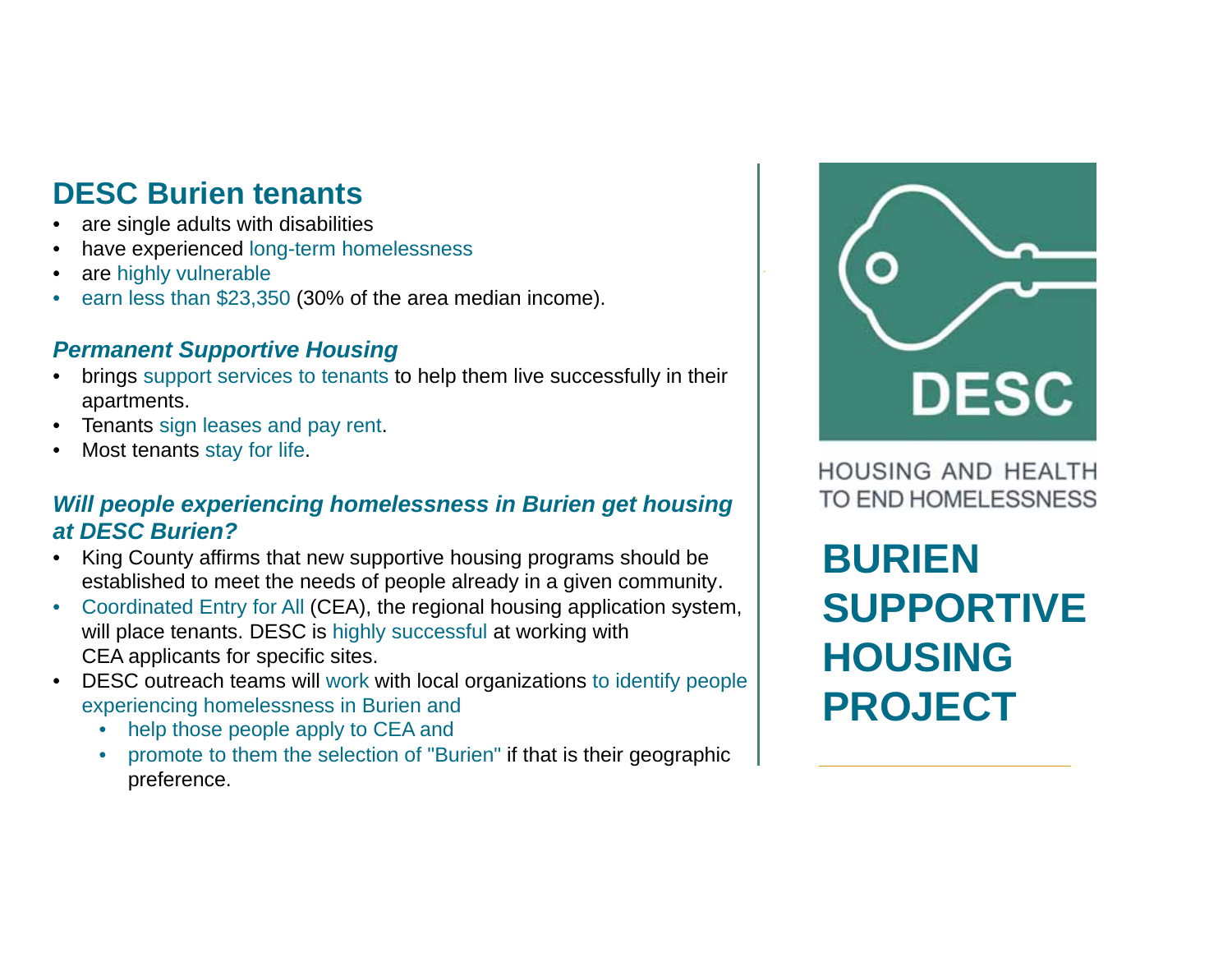## **DESC Burien tenants**

- •are single adults with disabilities
- •have experienced long-term homelessness
- •are highly vulnerable
- •earn less than \$23,350 (30% of the area median income).

### *Permanent Supportive Housing*

- • brings support services to tenants to help them live successfully in their apartments.
- •Tenants sign leases and pay rent.
- •Most tenants stay for life.

### *Will people experiencing homelessness in Burien get housing at DESC Burien?*

- King County affirms that new supportive housing programs should be established to meet the needs of people already in a given community*.*
- $\bullet$  Coordinated Entry for All (CEA), the regional housing application system, will place tenants. DESC is highly successful at working with CEA applicants for specific sites.
- DESC outreach teams will work with local organizations to identify people experiencing homelessness in Burien and
	- •help those people apply to CEA and
	- • promote to them the selection of "Burien" if that is their geographic preference.



**HOUSING AND HEALTH** TO END HOMELESSNESS

**BURIEN SUPPORTIVE HOUSING PROJECT**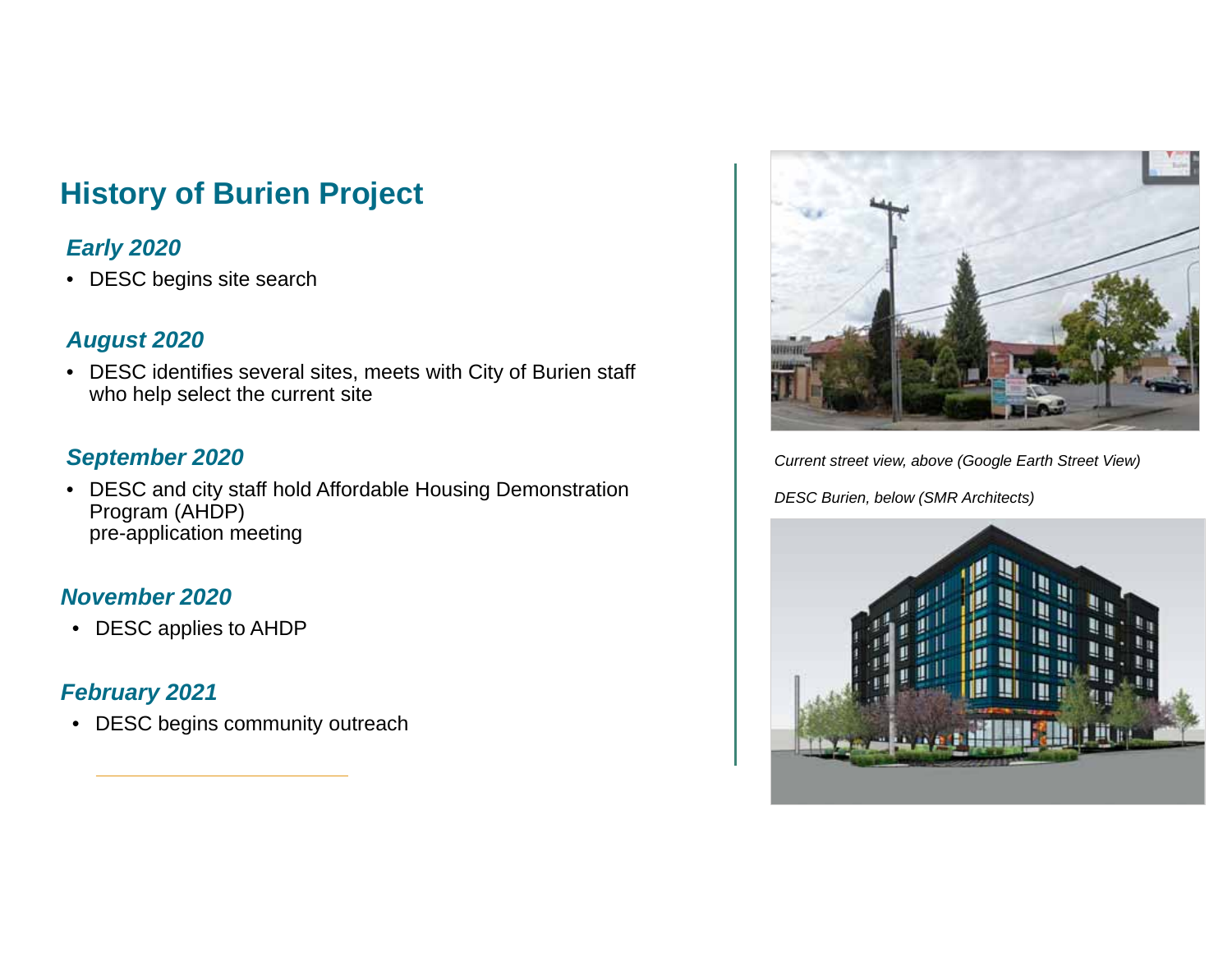## **History of Burien Project**

### *Early 2020*

• DESC begins site search

### *August 2020*

• DESC identifies several sites, meets with City of Burien staff who help select the current site

### *September 2020*

• DESC and city staff hold Affordable Housing Demonstration Program (AHDP) pre-application meeting

### *November 2020*

• DESC applies to AHDP

### *February 2021*

• DESC begins community outreach



*Current street view, above (Google Earth Street View)*

*DESC Burien, below (SMR Architects)*

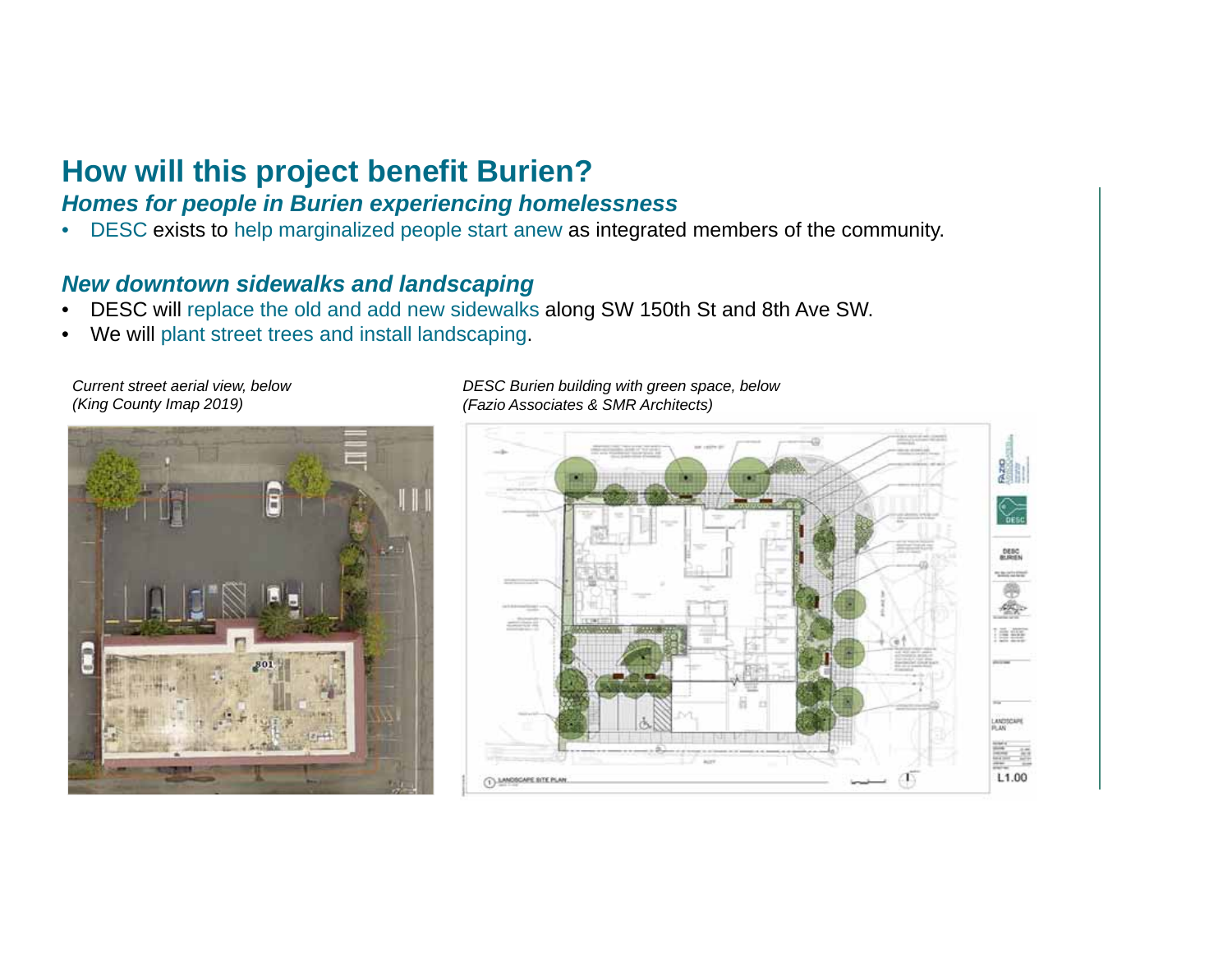## **How will this project benefit Burien?**

#### *Homes for people in Burien experiencing homelessness*

•DESC exists to help marginalized people start anew as integrated members of the community.

### *New downtown sidewalks and landscaping*

- •DESC will replace the old and add new sidewalks along SW 150th St and 8th Ave SW.
- •We will plant street trees and install landscaping.

*Current street aerial view, below (King County Imap 2019)*



*DESC Burien building with green space, below (Fazio Associates & SMR Architects)*

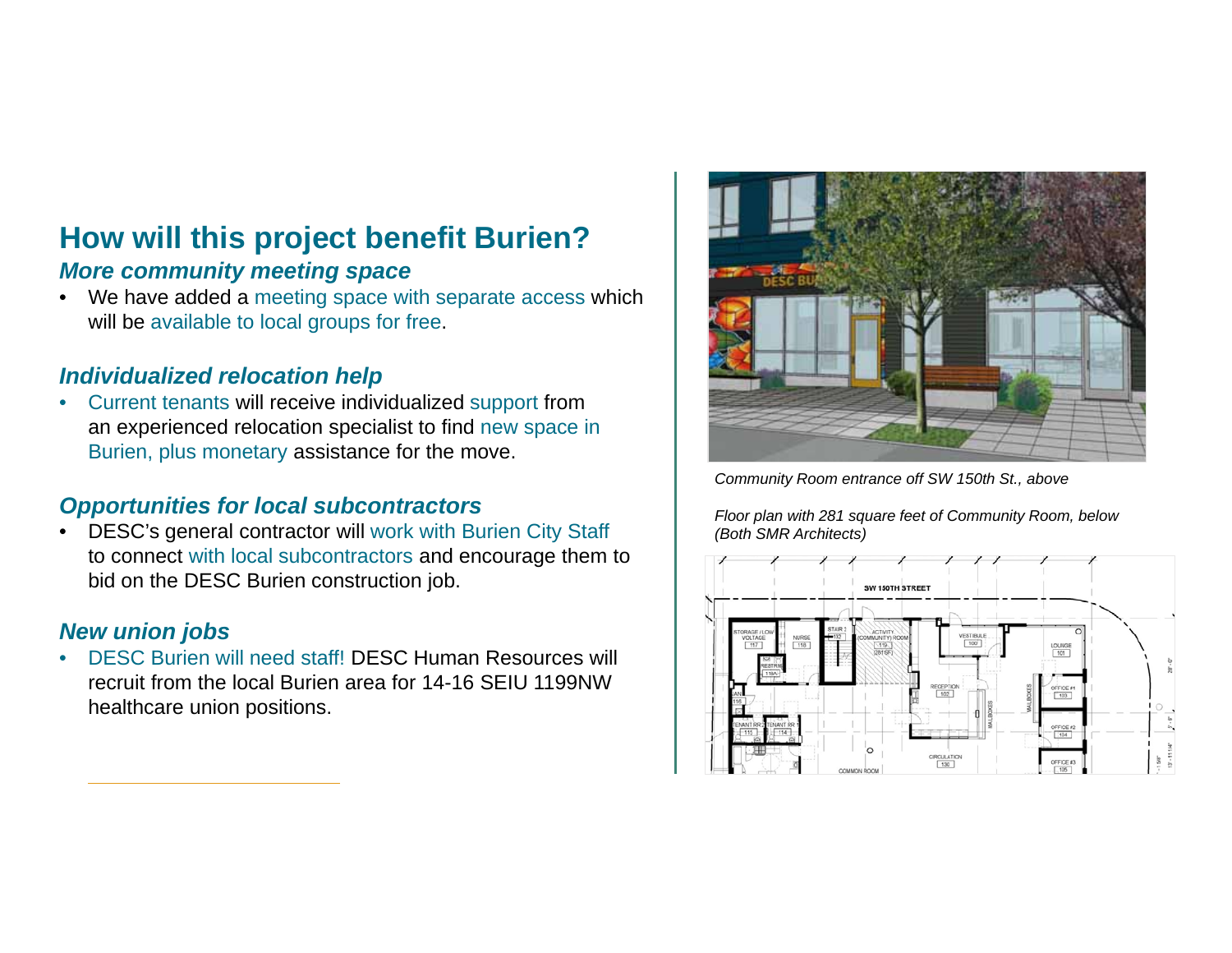# **How will this project benefit Burien?**

### *More community meeting space*

 $\bullet$ We have added a meeting space with separate access which will be available to local groups for free.

### *Individualized relocation help*

 $\bullet$  Current tenants will receive individualized support from an experienced relocation specialist to find new space in Burien, plus monetary assistance for the move.

### *Opportunities for local subcontractors*

• DESC's general contractor will work with Burien City Staff to connect with local subcontractors and encourage them to bid on the DESC Burien construction job.

### *New union jobs*

• DESC Burien will need staff! DESC Human Resources will recruit from the local Burien area for 14-16 SEIU 1199NW healthcare union positions.



*Community Room entrance off SW 150th St., above*

*Floor plan with 281 square feet of Community Room, below (Both SMR Architects)*

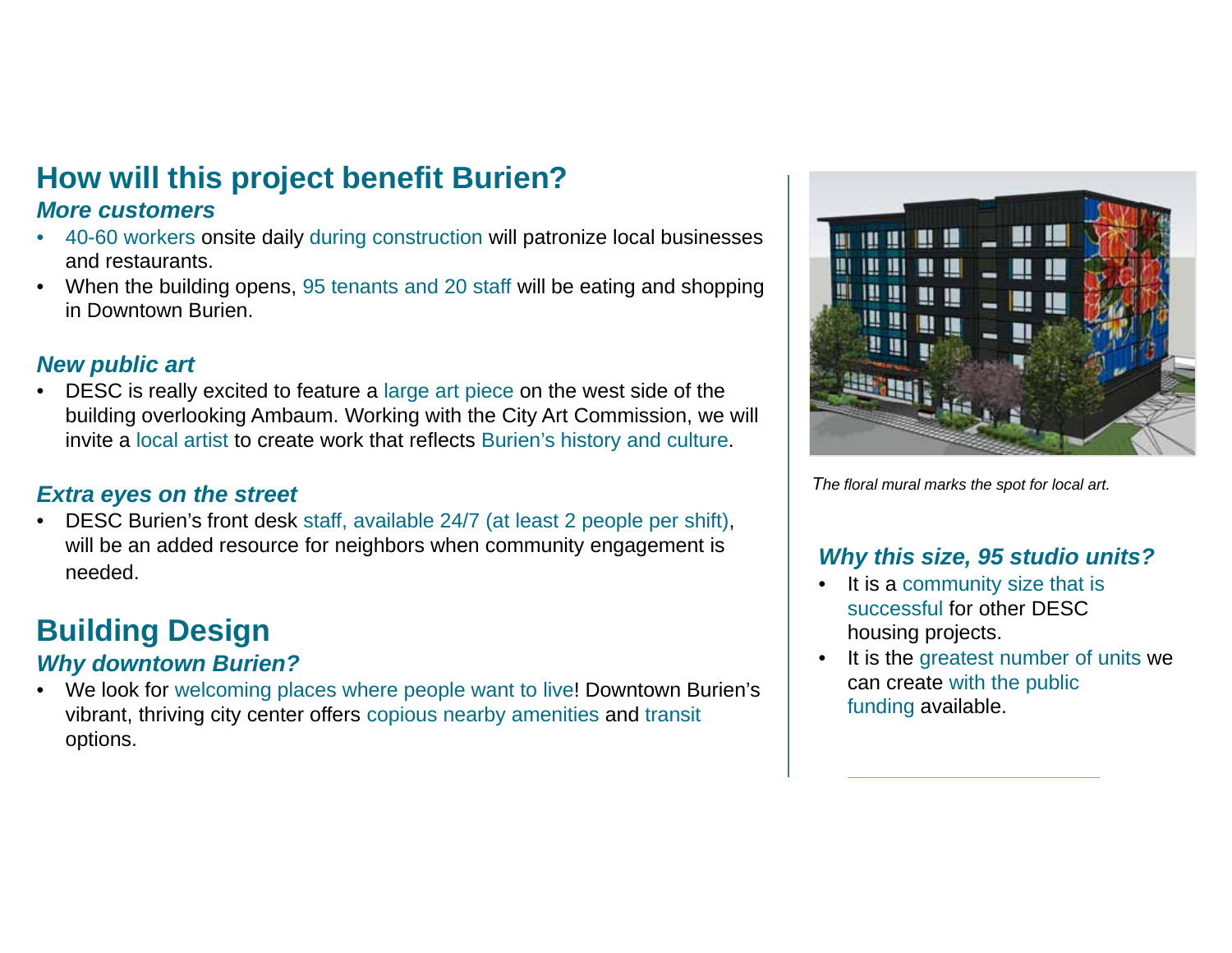# **How will this project benefit Burien?**

### *More customers*

- 40-60 workers onsite daily during construction will patronize local businesses and restaurants.
- When the building opens, 95 tenants and 20 staff will be eating and shopping in Downtown Burien.

### *New public art*

• DESC is really excited to feature a large art piece on the west side of the building overlooking Ambaum. Working with the City Art Commission, we will invite a local artist to create work that reflects Burien's history and culture.

### *Extra eyes on the street*

• DESC Burien's front desk staff, available 24/7 (at least 2 people per shift), will be an added resource for neighbors when community engagement is needed.

## **Building Design**

### *Why downtown Burien?*

• We look for welcoming places where people want to live! Downtown Burien's vibrant, thriving city center offers copious nearby amenities and transit options.



*The floral mural marks the spot for local art.*

### *Why this size, 95 studio units?*

- It is a community size that is successful for other DESC housing projects.
- •It is the greatest number of units we can create with the public funding available.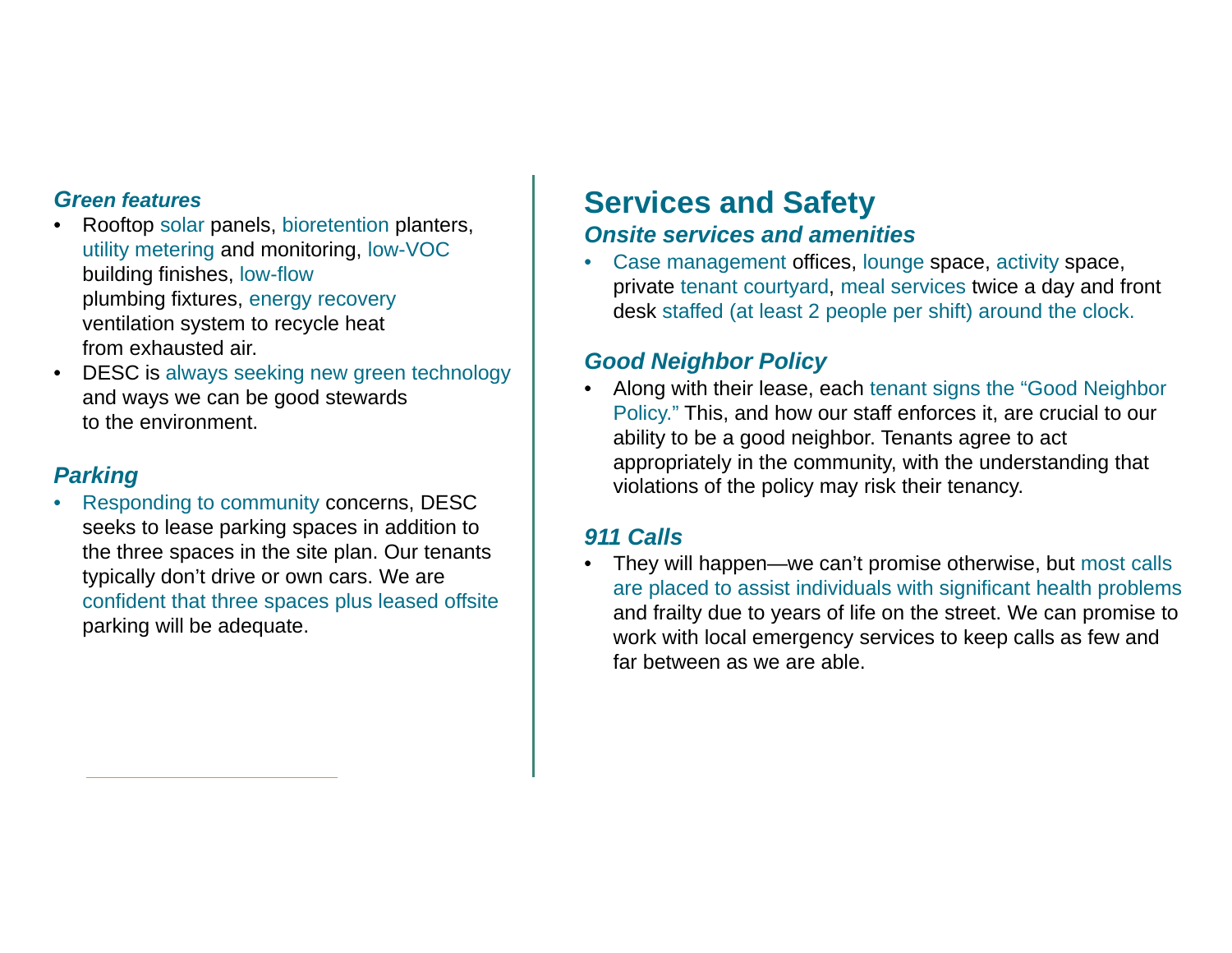### *Green features*

- Rooftop solar panels, bioretention planters, utility metering and monitoring, low-VOC building finishes, low-flow plumbing fixtures, energy recovery ventilation system to recycle heat from exhausted air.
- $\bullet$  DESC is always seeking new green technology and ways we can be good stewards to the environment.

### *Parking*

• Responding to community concerns, DESC seeks to lease parking spaces in addition to the three spaces in the site plan. Our tenants typically don't drive or own cars. We are confident that three spaces plus leased offsite parking will be adequate.

### **Services and Safety** *Onsite services and amenities*

• Case management offices, lounge space, activity space, private tenant courtyard, meal services twice a day and front desk staffed (at least 2 people per shift) around the clock.

### *Good Neighbor Policy*

• Along with their lease, each tenant signs the "Good Neighbor Policy." This, and how our staff enforces it, are crucial to our ability to be a good neighbor. Tenants agree to act appropriately in the community, with the understanding that violations of the policy may risk their tenancy.

### *911 Calls*

• They will happen—we can't promise otherwise, but most calls are placed to assist individuals with significant health problems and frailty due to years of life on the street. We can promise to work with local emergency services to keep calls as few and far between as we are able.